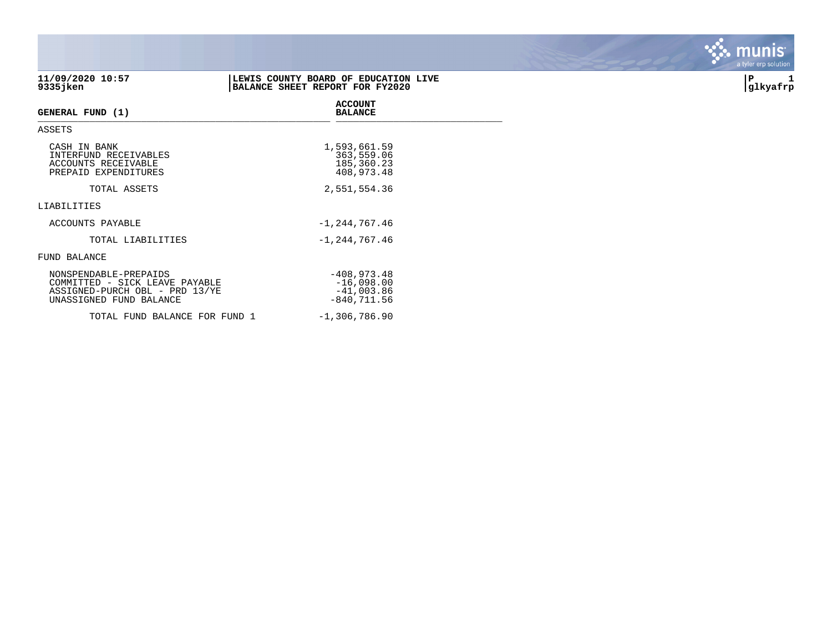|                                                                                           |                                                                         | a tyler erp sulution |
|-------------------------------------------------------------------------------------------|-------------------------------------------------------------------------|----------------------|
| 11/09/2020 10:57<br>$9335$ jken                                                           | LEWIS COUNTY BOARD OF EDUCATION LIVE<br>BALANCE SHEET REPORT FOR FY2020 | P<br>1<br>glkyafrp   |
| GENERAL FUND (1)                                                                          | <b>ACCOUNT</b><br><b>BALANCE</b>                                        |                      |
| ASSETS                                                                                    |                                                                         |                      |
| CASH IN BANK<br>INTERFUND RECEIVABLES<br>ACCOUNTS RECEIVABLE<br>PREPAID EXPENDITURES      | 1,593,661.59<br>363,559.06<br>185,360.23<br>408,973.48                  |                      |
| TOTAL ASSETS                                                                              | 2,551,554.36                                                            |                      |
| LIABILITIES                                                                               |                                                                         |                      |
| ACCOUNTS PAYABLE                                                                          | $-1, 244, 767.46$                                                       |                      |
| TOTAL LIABILITIES                                                                         | $-1, 244, 767.46$                                                       |                      |
| FUND BALANCE                                                                              |                                                                         |                      |
| NONSPENDABLE-PREPAIDS<br>COMMITTED - SICK LEAVE PAYABLE<br>ASSIGNED-PURCH OBL - PRD 13/YE | $-408,973.48$<br>$-16,098.00$<br>$-41,003.86$                           |                      |

UNASSIGNED FUND BALANCE  $-840,711.56$ 

TOTAL FUND BALANCE FOR FUND  $1$  -1,306,786.90

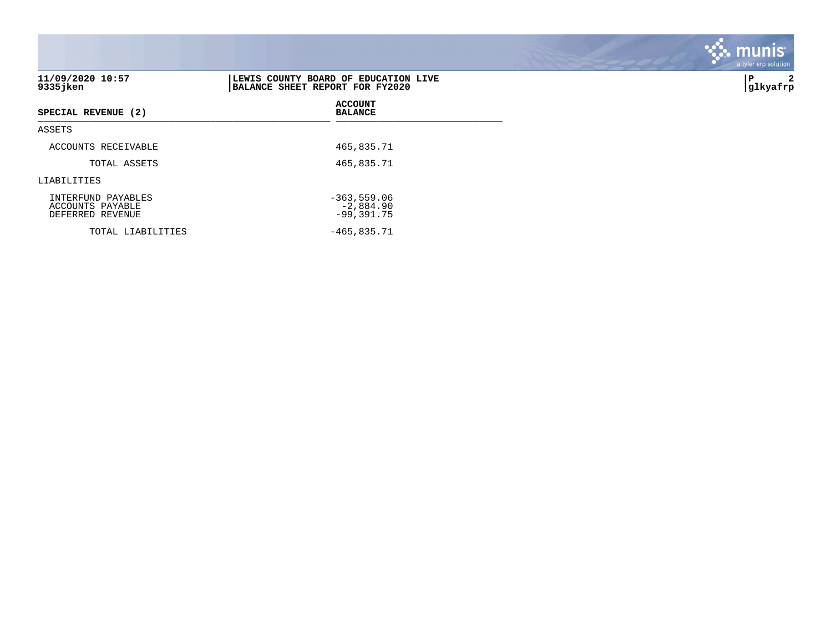|                                                            |                                                                         | a tyler erp solution |
|------------------------------------------------------------|-------------------------------------------------------------------------|----------------------|
| 11/09/2020 10:57<br>9335jken                               | LEWIS COUNTY BOARD OF EDUCATION LIVE<br>BALANCE SHEET REPORT FOR FY2020 | 2<br>P<br> glkyafrp  |
| SPECIAL REVENUE (2)                                        | <b>ACCOUNT</b><br><b>BALANCE</b>                                        |                      |
| ASSETS                                                     |                                                                         |                      |
| ACCOUNTS RECEIVABLE                                        | 465,835.71                                                              |                      |
| TOTAL ASSETS                                               | 465,835.71                                                              |                      |
| LIABILITIES                                                |                                                                         |                      |
| INTERFUND PAYABLES<br>ACCOUNTS PAYABLE<br>DEFERRED REVENUE | $-363,559.06$<br>$-2,884.90$<br>$-99, 391.75$                           |                      |
| TOTAL LIABILITIES                                          | $-465,835.71$                                                           |                      |

**SASE MUNIS**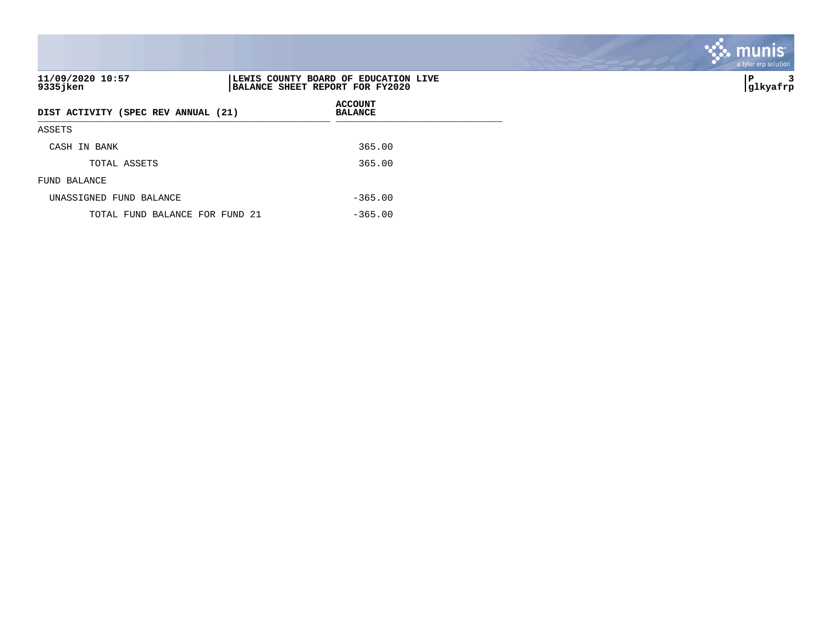| 11/09/2020 10:57<br>9335 jken       | LEWIS COUNTY BOARD OF EDUCATION LIVE<br>BALANCE SHEET REPORT FOR FY2020 | 3<br>IΡ<br> glkyafrp |
|-------------------------------------|-------------------------------------------------------------------------|----------------------|
| DIST ACTIVITY (SPEC REV ANNUAL (21) | <b>ACCOUNT</b><br><b>BALANCE</b>                                        |                      |
| ASSETS                              |                                                                         |                      |
| CASH IN BANK                        | 365.00                                                                  |                      |
| TOTAL ASSETS                        | 365.00                                                                  |                      |
| FUND BALANCE                        |                                                                         |                      |
| UNASSIGNED FUND BALANCE             | $-365.00$                                                               |                      |
| TOTAL FUND BALANCE FOR FUND 21      | $-365.00$                                                               |                      |

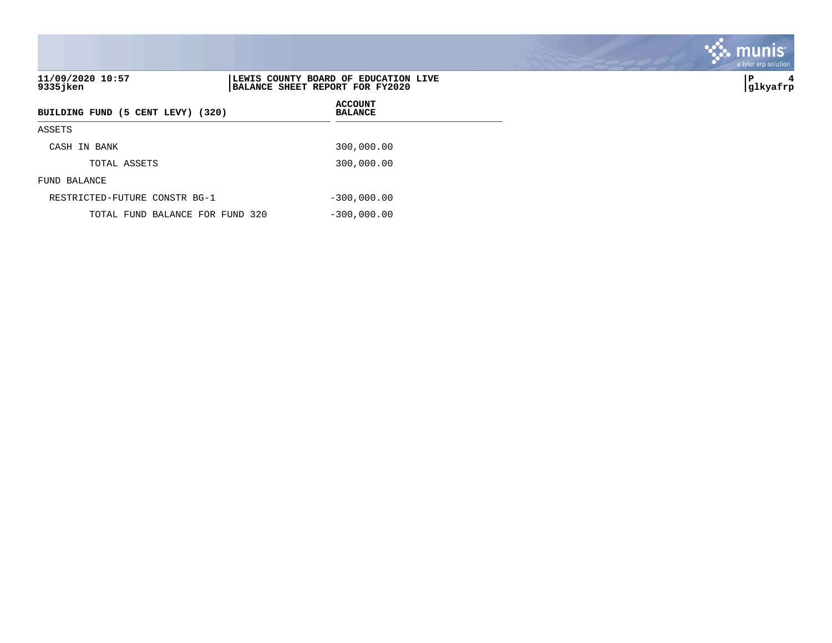|                                   |                                                                         | a tyler erp solution |
|-----------------------------------|-------------------------------------------------------------------------|----------------------|
| 11/09/2020 10:57<br>9335 jken     | LEWIS COUNTY BOARD OF EDUCATION LIVE<br>BALANCE SHEET REPORT FOR FY2020 | ∣P<br>4<br> glkyafrp |
| BUILDING FUND (5 CENT LEVY) (320) | <b>ACCOUNT</b><br><b>BALANCE</b>                                        |                      |
| ASSETS                            |                                                                         |                      |
| IN BANK<br>CASH                   | 300,000.00                                                              |                      |
| TOTAL ASSETS                      | 300,000.00                                                              |                      |
| FUND BALANCE                      |                                                                         |                      |
| RESTRICTED-FUTURE CONSTR BG-1     | $-300,000.00$                                                           |                      |
| TOTAL FUND BALANCE FOR FUND 320   | $-300,000.00$                                                           |                      |

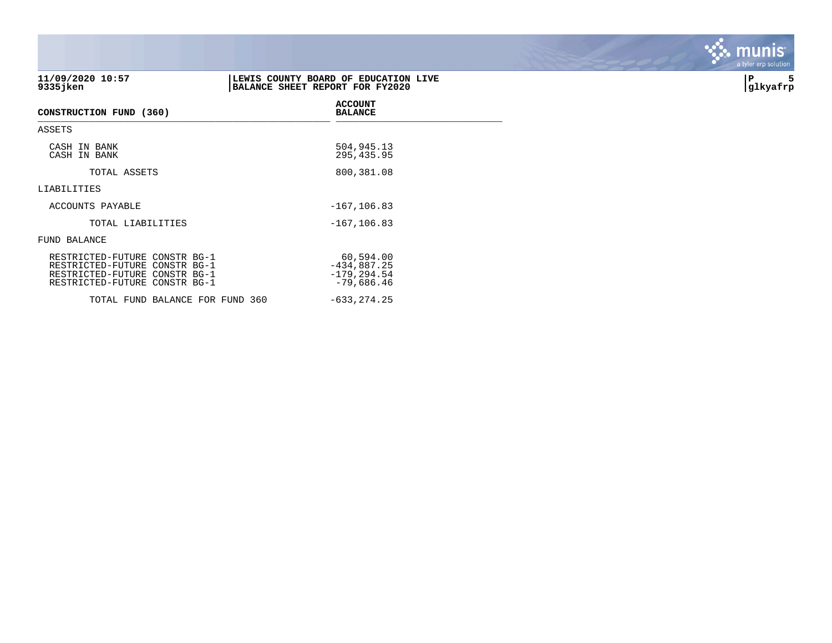| 11/09/2020 10:57<br>$9335$ jken                                                                                                  | LEWIS COUNTY BOARD OF EDUCATION LIVE<br>BALANCE SHEET REPORT FOR FY2020 | P<br>glkyafrp |
|----------------------------------------------------------------------------------------------------------------------------------|-------------------------------------------------------------------------|---------------|
| CONSTRUCTION FUND (360)                                                                                                          | <b>ACCOUNT</b><br><b>BALANCE</b>                                        |               |
| ASSETS                                                                                                                           |                                                                         |               |
| CASH IN BANK<br>CASH IN BANK                                                                                                     | 504,945.13<br>295,435.95                                                |               |
| TOTAL ASSETS                                                                                                                     | 800,381.08                                                              |               |
| LIABILITIES                                                                                                                      |                                                                         |               |
| ACCOUNTS PAYABLE                                                                                                                 | $-167, 106.83$                                                          |               |
| TOTAL LIABILITIES                                                                                                                | $-167, 106.83$                                                          |               |
| FUND BALANCE                                                                                                                     |                                                                         |               |
| RESTRICTED-FUTURE CONSTR BG-1<br>RESTRICTED-FUTURE CONSTR BG-1<br>RESTRICTED-FUTURE CONSTR BG-1<br>RESTRICTED-FUTURE CONSTR BG-1 | 60,594.00<br>$-434,887.25$<br>$-179, 294.54$<br>$-79,686.46$            |               |

TOTAL FUND BALANCE FOR FUND 360 -633,274.25

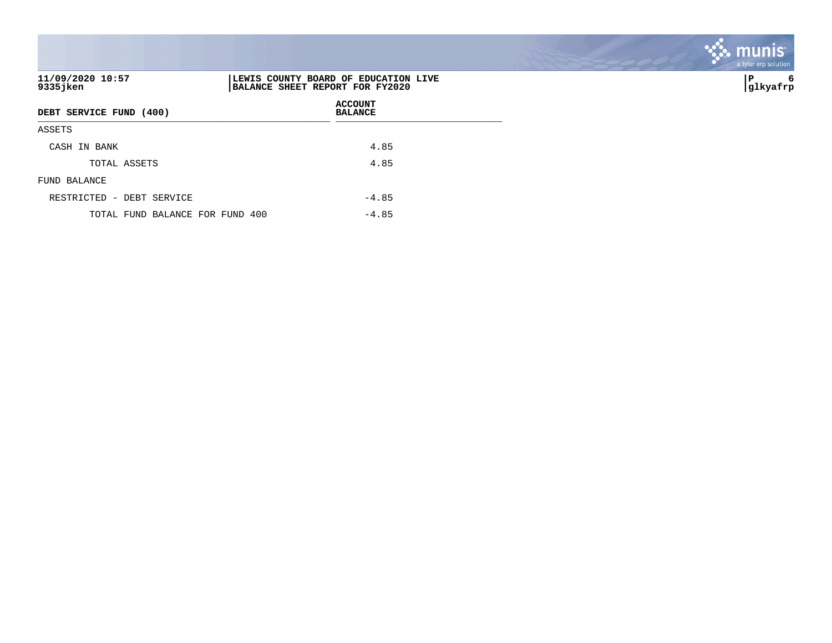|                                 |                                                                         | the contract of the contract of the contract of |
|---------------------------------|-------------------------------------------------------------------------|-------------------------------------------------|
| 11/09/2020 10:57<br>9335 jken   | LEWIS COUNTY BOARD OF EDUCATION LIVE<br>BALANCE SHEET REPORT FOR FY2020 | P<br>6<br> glkyafrp                             |
| DEBT SERVICE FUND (400)         | <b>ACCOUNT</b><br><b>BALANCE</b>                                        |                                                 |
| ASSETS                          |                                                                         |                                                 |
| CASH IN BANK                    | 4.85                                                                    |                                                 |
| TOTAL ASSETS                    | 4.85                                                                    |                                                 |
| FUND BALANCE                    |                                                                         |                                                 |
| RESTRICTED - DEBT SERVICE       | $-4.85$                                                                 |                                                 |
| TOTAL FUND BALANCE FOR FUND 400 | $-4.85$                                                                 |                                                 |

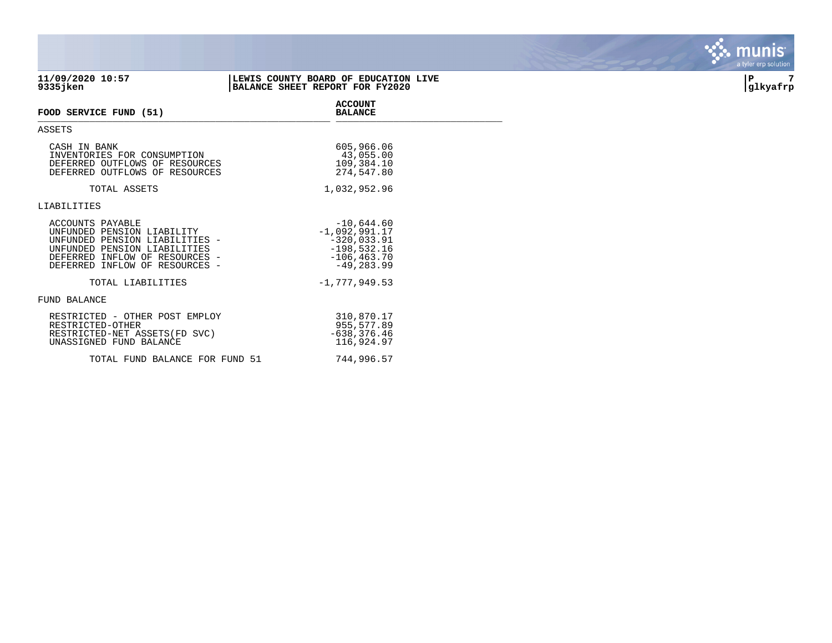|                                                                                                                                                                                      |                                                                                                       | a tyler elp sulution |
|--------------------------------------------------------------------------------------------------------------------------------------------------------------------------------------|-------------------------------------------------------------------------------------------------------|----------------------|
| 11/09/2020 10:57<br>9335 jken                                                                                                                                                        | LEWIS COUNTY BOARD OF EDUCATION LIVE<br>BALANCE SHEET REPORT FOR FY2020                               | 7<br> P<br> glkyafrp |
| FOOD SERVICE FUND (51)                                                                                                                                                               | <b>ACCOUNT</b><br><b>BALANCE</b>                                                                      |                      |
| ASSETS                                                                                                                                                                               |                                                                                                       |                      |
| CASH IN BANK<br>INVENTORIES FOR CONSUMPTION<br>DEFERRED OUTFLOWS OF RESOURCES<br>DEFERRED OUTFLOWS OF RESOURCES                                                                      | 605,966.06<br>43,055.00<br>109,384.10<br>274,547.80                                                   |                      |
| TOTAL ASSETS                                                                                                                                                                         | 1,032,952.96                                                                                          |                      |
| LIABILITIES                                                                                                                                                                          |                                                                                                       |                      |
| ACCOUNTS PAYABLE<br>UNFUNDED PENSION LIABILITY<br>UNFUNDED PENSION LIABILITIES -<br>UNFUNDED PENSION LIABILITIES<br>DEFERRED INFLOW OF RESOURCES -<br>DEFERRED INFLOW OF RESOURCES - | $-10,644.60$<br>$-1,092,991.17$<br>$-320,033.91$<br>$-198,532.16$<br>$-106, 463.70$<br>$-49, 283, 99$ |                      |
| TOTAL LIABILITIES                                                                                                                                                                    | $-1,777,949.53$                                                                                       |                      |
| FUND BALANCE                                                                                                                                                                         |                                                                                                       |                      |
| RESTRICTED - OTHER POST EMPLOY<br>RESTRICTED-OTHER<br>RESTRICTED-NET ASSETS (FD SVC)<br>UNASSIGNED FUND BALANCE                                                                      | 310,870.17<br>955,577.89<br>$-638, 376.46$<br>116,924.97                                              |                      |

TOTAL FUND BALANCE FOR FUND 51 744,996.57

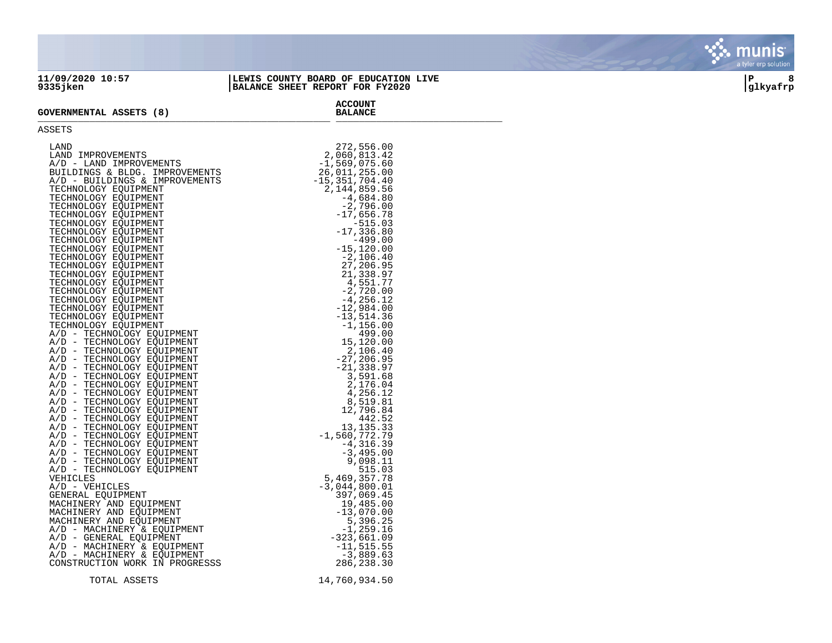## **11/09/2020 10:57 |LEWIS COUNTY BOARD OF EDUCATION LIVE |P 8 9335jken |BALANCE SHEET REPORT FOR FY2020 |glkyafrp**

**ACCOUNT**

## **GOVERNMENTAL ASSETS (8)** GOVERNMENTAL ASSETS (0)

## ASSETS

| LAND                           | 272,556.00         |
|--------------------------------|--------------------|
| LAND IMPROVEMENTS              | 2,060,813.42       |
|                                |                    |
| A/D - LAND IMPROVEMENTS        | $-1,569,075.60$    |
| BUILDINGS & BLDG. IMPROVEMENTS | 26,011,255.00      |
| A/D - BUILDINGS & IMPROVEMENTS | $-15, 351, 704.40$ |
| TECHNOLOGY EQUIPMENT           | 2,144,859.56       |
| TECHNOLOGY EOUIPMENT           |                    |
|                                | $-4,684.80$        |
| TECHNOLOGY EQUIPMENT           | $-2,796.00$        |
| TECHNOLOGY EOUIPMENT           | $-17,656.78$       |
| TECHNOLOGY EOUIPMENT           | $-515.03$          |
| TECHNOLOGY EQUIPMENT           | $-17, 336.80$      |
| TECHNOLOGY EOUIPMENT           | $-499.00$          |
| TECHNOLOGY EQUIPMENT           | $-15, 120.00$      |
| TECHNOLOGY EQUIPMENT           | $-2,106.40$        |
|                                |                    |
| TECHNOLOGY EOUIPMENT           | 27,206.95          |
| TECHNOLOGY EOUIPMENT           | 21,338.97          |
| TECHNOLOGY EOUIPMENT           | 4,551.77           |
| TECHNOLOGY EQUIPMENT           | $-2,720.00$        |
| TECHNOLOGY EOUIPMENT           | -4,256.12          |
| TECHNOLOGY EOUIPMENT           | $-12,984.00$       |
| TECHNOLOGY EOUIPMENT           | $-13, 514.36$      |
|                                |                    |
| TECHNOLOGY EOUIPMENT           | $-1,156.00$        |
| A/D - TECHNOLOGY EOUIPMENT     | 499.00             |
| A/D - TECHNOLOGY EOUIPMENT     | 15,120.00          |
| A/D - TECHNOLOGY EOUIPMENT     | 2,106.40           |
| A/D - TECHNOLOGY EQUIPMENT     | $-27, 206.95$      |
| A/D - TECHNOLOGY EQUIPMENT     | $-21, 338.97$      |
| A/D - TECHNOLOGY EOUIPMENT     | 3,591.68           |
| A/D - TECHNOLOGY EQUIPMENT     | 2,176.04           |
| A/D - TECHNOLOGY EOUIPMENT     | 4,256.12           |
|                                |                    |
| A/D - TECHNOLOGY EQUIPMENT     | 8,519.81           |
| A/D - TECHNOLOGY EOUIPMENT     | 12,796.84          |
| A/D - TECHNOLOGY EQUIPMENT     | 442.52             |
| A/D - TECHNOLOGY EOUIPMENT     | 13, 135. 33        |
| A/D - TECHNOLOGY EOUIPMENT     | $-1,560,772.79$    |
| A/D - TECHNOLOGY EOUIPMENT     | $-4, 316.39$       |
| A/D - TECHNOLOGY EOUIPMENT     | $-3,495.00$        |
| A/D - TECHNOLOGY EOUIPMENT     | 9,098.11           |
| A/D - TECHNOLOGY EQUIPMENT     | 515.03             |
| VEHICLES                       | 5,469,357.78       |
|                                |                    |
| A/D - VEHICLES                 | $-3,044,800.01$    |
| GENERAL EOUIPMENT              | 397,069.45         |
| MACHINERY AND EQUIPMENT        | 19,485.00          |
| MACHINERY AND EQUIPMENT        | $-13,070.00$       |
| MACHINERY AND EQUIPMENT        | 5,396.25           |
| A/D - MACHINERY & EQUIPMENT    | $-1, 259.16$       |
| A/D - GENERAL EOUIPMENT        | $-323,661.09$      |
| A/D - MACHINERY & EOUIPMENT    | $-11, 515.55$      |
| A/D - MACHINERY & EOUIPMENT    | $-3,889.63$        |
| CONSTRUCTION WORK IN PROGRESSS |                    |
|                                | 286,238.30         |
|                                |                    |
| TOTAL ASSETS                   | 14,760,934.50      |

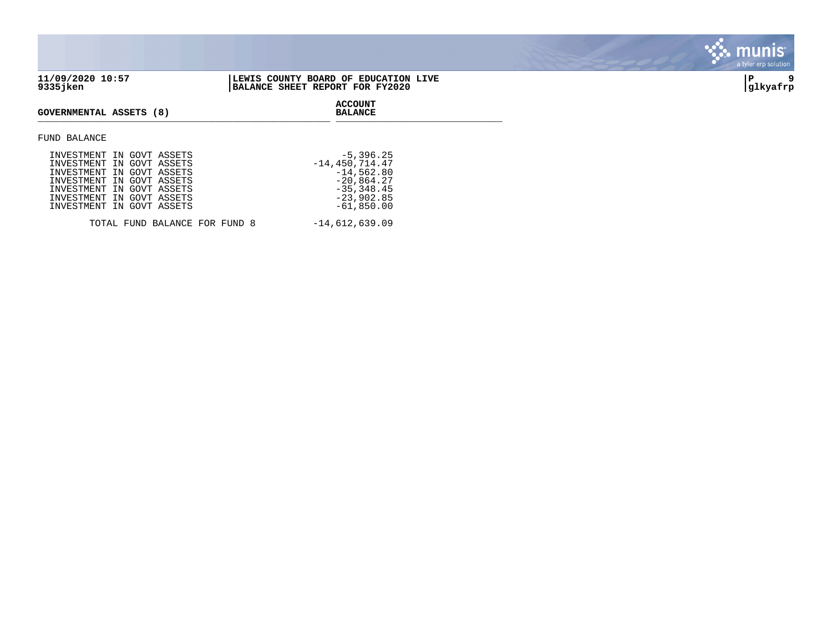

| INVESTMENT IN GOVT ASSETS |                               | $-5,396.25$        |
|---------------------------|-------------------------------|--------------------|
| INVESTMENT IN GOVT ASSETS |                               | $-14, 450, 714.47$ |
| INVESTMENT IN GOVT ASSETS |                               | $-14,562.80$       |
| INVESTMENT IN GOVT ASSETS |                               | $-20,864.27$       |
| INVESTMENT IN GOVT ASSETS |                               | $-35, 348.45$      |
| INVESTMENT IN GOVT ASSETS |                               | $-23,902.85$       |
| INVESTMENT IN GOVT ASSETS |                               | $-61,850.00$       |
|                           |                               |                    |
|                           | TOTAL FUND BALANCE FOR FUND 8 | $-14,612,639.09$   |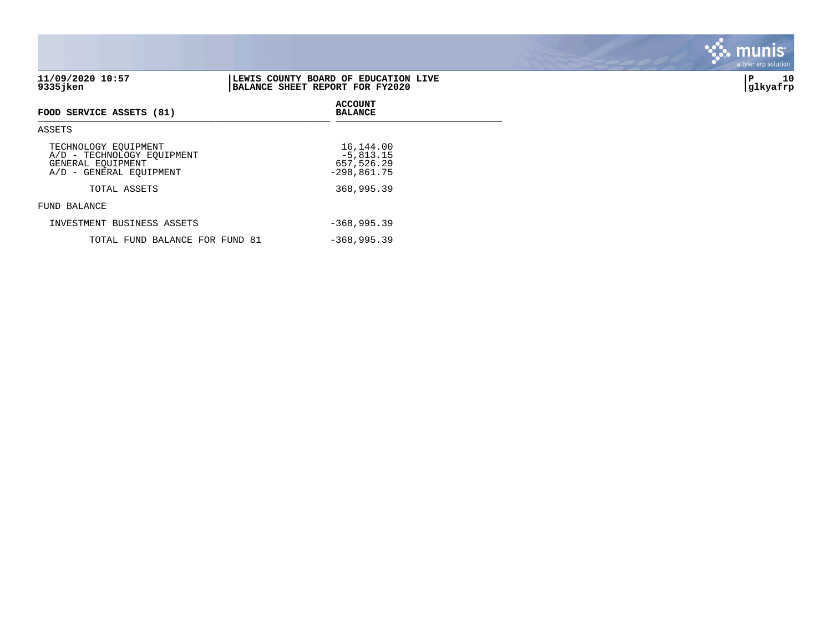|                                                                                                    |                                                                         | a tyler erp sulution |
|----------------------------------------------------------------------------------------------------|-------------------------------------------------------------------------|----------------------|
| 11/09/2020 10:57<br>$9335$ jken                                                                    | LEWIS COUNTY BOARD OF EDUCATION LIVE<br>BALANCE SHEET REPORT FOR FY2020 | 10<br>P<br> glkyafrp |
| FOOD SERVICE ASSETS (81)                                                                           | <b>ACCOUNT</b><br><b>BALANCE</b>                                        |                      |
| ASSETS                                                                                             |                                                                         |                      |
| TECHNOLOGY EOUIPMENT<br>A/D - TECHNOLOGY EQUIPMENT<br>GENERAL EQUIPMENT<br>A/D - GENERAL EQUIPMENT | 16,144.00<br>$-5,813.15$<br>657,526.29<br>$-298,861.75$                 |                      |
| TOTAL ASSETS                                                                                       | 368,995.39                                                              |                      |
| FUND BALANCE                                                                                       |                                                                         |                      |
| INVESTMENT BUSINESS ASSETS                                                                         | $-368, 995.39$                                                          |                      |
| TOTAL FUND BALANCE FOR FUND 81                                                                     | $-368,995.39$                                                           |                      |